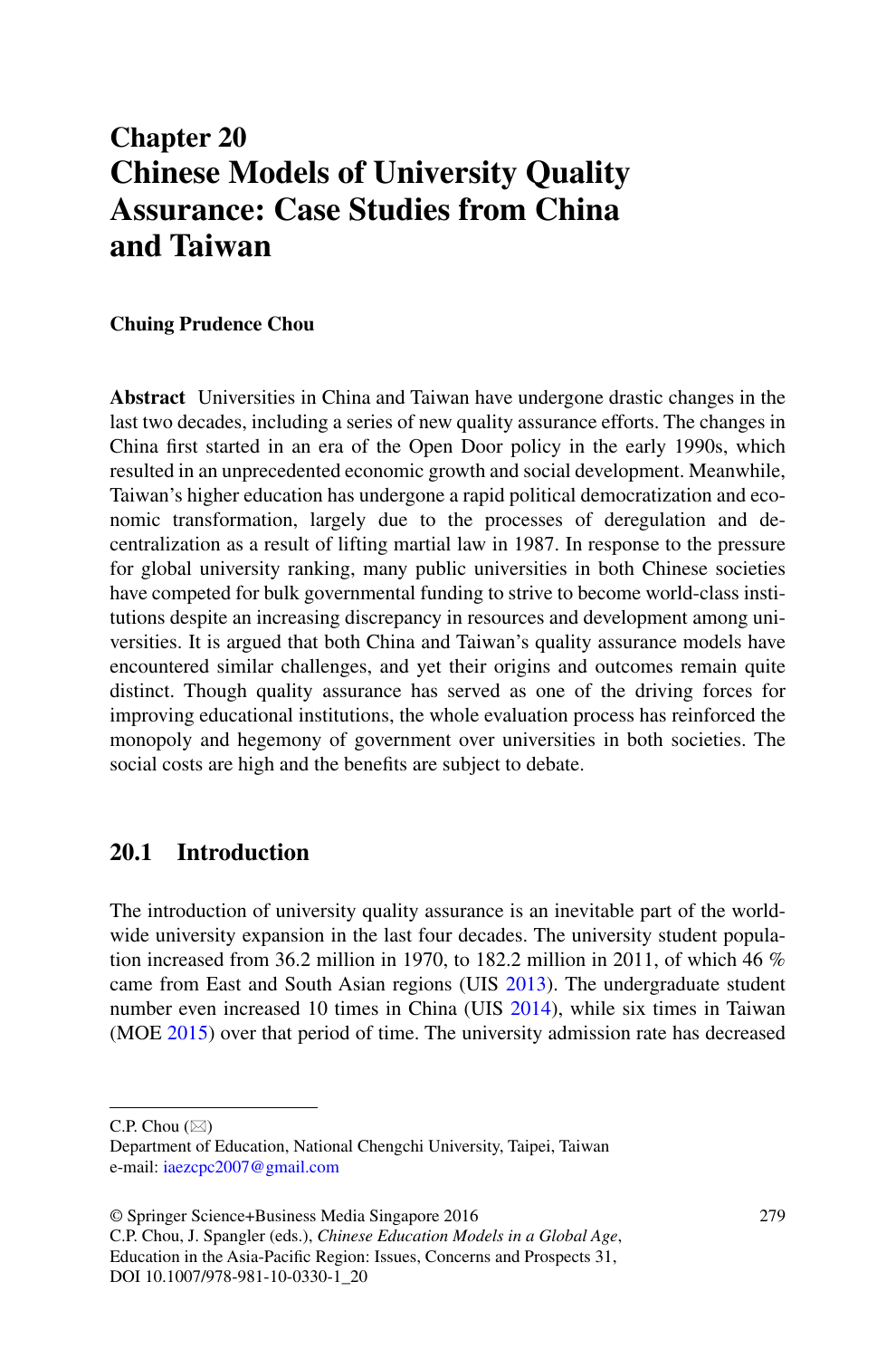# **Chapter 20 Chinese Models of University Quality Assurance: Case Studies from China and Taiwan**

#### **Chuing Prudence Chou**

 **Abstract** Universities in China and Taiwan have undergone drastic changes in the last two decades, including a series of new quality assurance efforts. The changes in China first started in an era of the Open Door policy in the early 1990s, which resulted in an unprecedented economic growth and social development. Meanwhile, Taiwan's higher education has undergone a rapid political democratization and economic transformation, largely due to the processes of deregulation and decentralization as a result of lifting martial law in 1987. In response to the pressure for global university ranking, many public universities in both Chinese societies have competed for bulk governmental funding to strive to become world-class institutions despite an increasing discrepancy in resources and development among universities. It is argued that both China and Taiwan's quality assurance models have encountered similar challenges, and yet their origins and outcomes remain quite distinct. Though quality assurance has served as one of the driving forces for improving educational institutions, the whole evaluation process has reinforced the monopoly and hegemony of government over universities in both societies. The social costs are high and the benefits are subject to debate.

## **20.1 Introduction**

 The introduction of university quality assurance is an inevitable part of the worldwide university expansion in the last four decades. The university student population increased from 36.2 million in 1970, to 182.2 million in 2011, of which 46  $%$ came from East and South Asian regions (UIS [2013](#page-11-0) ). The undergraduate student number even increased 10 times in China (UIS 2014), while six times in Taiwan  $(MOE 2015)$  $(MOE 2015)$  $(MOE 2015)$  over that period of time. The university admission rate has decreased

C.P. Chou  $(\boxtimes)$ 

Department of Education, National Chengchi University, Taipei, Taiwan e-mail: [iaezcpc2007@gmail.com](mailto:iaezcpc2007@gmail.com)

<sup>©</sup> Springer Science+Business Media Singapore 2016 279

C.P. Chou, J. Spangler (eds.), *Chinese Education Models in a Global Age*, Education in the Asia-Pacific Region: Issues, Concerns and Prospects 31, DOI 10.1007/978-981-10-0330-1\_20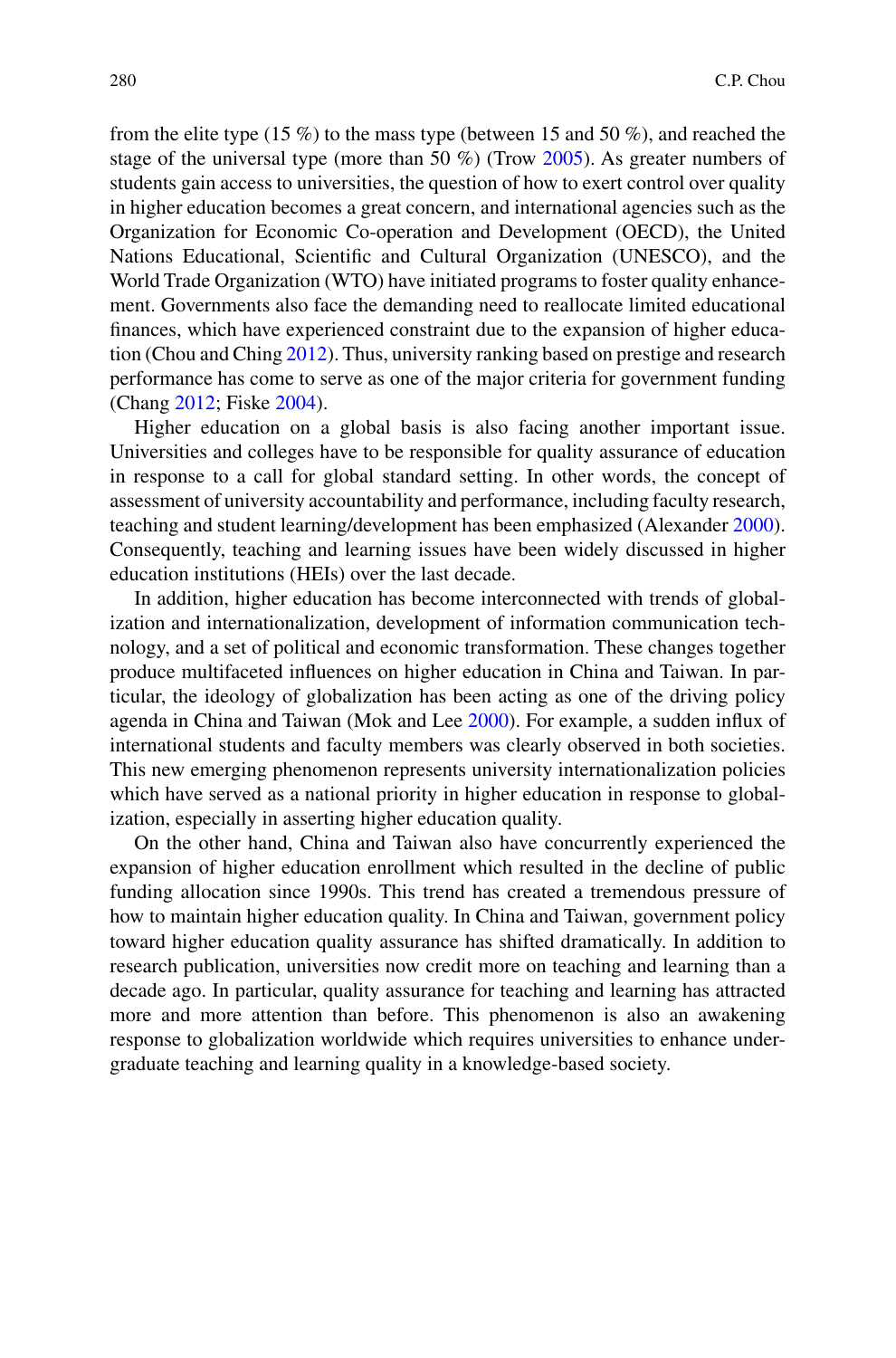from the elite type (15 %) to the mass type (between 15 and 50 %), and reached the stage of the universal type (more than 50  $\%$ ) (Trow [2005](#page-11-0)). As greater numbers of students gain access to universities, the question of how to exert control over quality in higher education becomes a great concern, and international agencies such as the Organization for Economic Co-operation and Development (OECD), the United Nations Educational, Scientific and Cultural Organization (UNESCO), and the World Trade Organization (WTO) have initiated programs to foster quality enhancement. Governments also face the demanding need to reallocate limited educational finances, which have experienced constraint due to the expansion of higher education (Chou and Ching [2012 \)](#page-10-0). Thus, university ranking based on prestige and research performance has come to serve as one of the major criteria for government funding (Chang 2012; Fiske [2004](#page-11-0)).

 Higher education on a global basis is also facing another important issue. Universities and colleges have to be responsible for quality assurance of education in response to a call for global standard setting. In other words, the concept of assessment of university accountability and performance, including faculty research, teaching and student learning/development has been emphasized (Alexander 2000). Consequently, teaching and learning issues have been widely discussed in higher education institutions (HEIs) over the last decade.

 In addition, higher education has become interconnected with trends of globalization and internationalization, development of information communication technology, and a set of political and economic transformation. These changes together produce multifaceted influences on higher education in China and Taiwan. In particular, the ideology of globalization has been acting as one of the driving policy agenda in China and Taiwan (Mok and Lee  $2000$ ). For example, a sudden influx of international students and faculty members was clearly observed in both societies. This new emerging phenomenon represents university internationalization policies which have served as a national priority in higher education in response to globalization, especially in asserting higher education quality.

 On the other hand, China and Taiwan also have concurrently experienced the expansion of higher education enrollment which resulted in the decline of public funding allocation since 1990s. This trend has created a tremendous pressure of how to maintain higher education quality. In China and Taiwan, government policy toward higher education quality assurance has shifted dramatically. In addition to research publication, universities now credit more on teaching and learning than a decade ago. In particular, quality assurance for teaching and learning has attracted more and more attention than before. This phenomenon is also an awakening response to globalization worldwide which requires universities to enhance undergraduate teaching and learning quality in a knowledge-based society.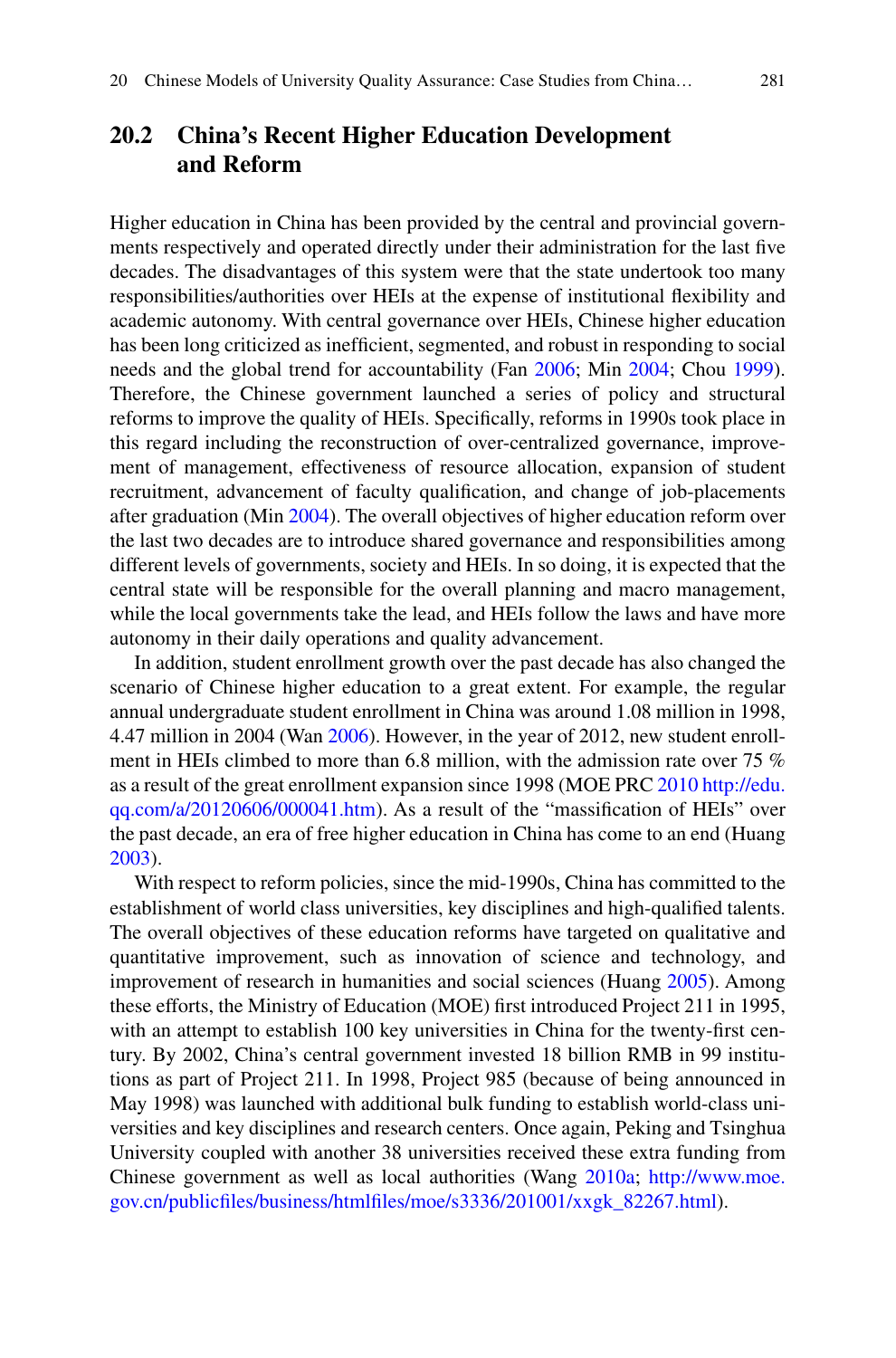# **20.2 China's Recent Higher Education Development and Reform**

Higher education in China has been provided by the central and provincial governments respectively and operated directly under their administration for the last five decades. The disadvantages of this system were that the state undertook too many responsibilities/authorities over HEIs at the expense of institutional flexibility and academic autonomy. With central governance over HEIs, Chinese higher education has been long criticized as inefficient, segmented, and robust in responding to social needs and the global trend for accountability (Fan [2006](#page-10-0); Min [2004](#page-11-0); Chou 1999). Therefore, the Chinese government launched a series of policy and structural reforms to improve the quality of HEIs. Specifically, reforms in 1990s took place in this regard including the reconstruction of over-centralized governance, improvement of management, effectiveness of resource allocation, expansion of student recruitment, advancement of faculty qualification, and change of job-placements after graduation (Min 2004). The overall objectives of higher education reform over the last two decades are to introduce shared governance and responsibilities among different levels of governments, society and HEIs. In so doing, it is expected that the central state will be responsible for the overall planning and macro management, while the local governments take the lead, and HEIs follow the laws and have more autonomy in their daily operations and quality advancement.

 In addition, student enrollment growth over the past decade has also changed the scenario of Chinese higher education to a great extent. For example, the regular annual undergraduate student enrollment in China was around 1.08 million in 1998, 4.47 million in 2004 (Wan [2006 \)](#page-12-0). However, in the year of 2012, new student enrollment in HEIs climbed to more than 6.8 million, with the admission rate over 75 % as a result of the great enrollment expansion since 1998 (MOE PRC [2010](#page-11-0) [http://edu.](http://edu.qq.com/a/20120606/000041.htm) [qq.com/a/20120606/000041.htm](http://edu.qq.com/a/20120606/000041.htm)). As a result of the "massification of HEIs" over the past decade, an era of free higher education in China has come to an end (Huang  $2003$ ).

 With respect to reform policies, since the mid-1990s, China has committed to the establishment of world class universities, key disciplines and high-qualified talents. The overall objectives of these education reforms have targeted on qualitative and quantitative improvement, such as innovation of science and technology, and improvement of research in humanities and social sciences (Huang [2005](#page-11-0)). Among these efforts, the Ministry of Education (MOE) first introduced Project 211 in 1995, with an attempt to establish 100 key universities in China for the twenty-first century. By 2002, China's central government invested 18 billion RMB in 99 institutions as part of Project 211. In 1998, Project 985 (because of being announced in May 1998) was launched with additional bulk funding to establish world-class universities and key disciplines and research centers. Once again, Peking and Tsinghua University coupled with another 38 universities received these extra funding from Chinese government as well as local authorities (Wang 2010a; [http://www.moe.](http://www.moe.gov.cn/publicfiles/business/htmlfiles/moe/s3336/201001/xxgk_82267.html) gov.cn/publicfiles/business/htmlfiles/moe/s3336/201001/xxgk\_82267.html).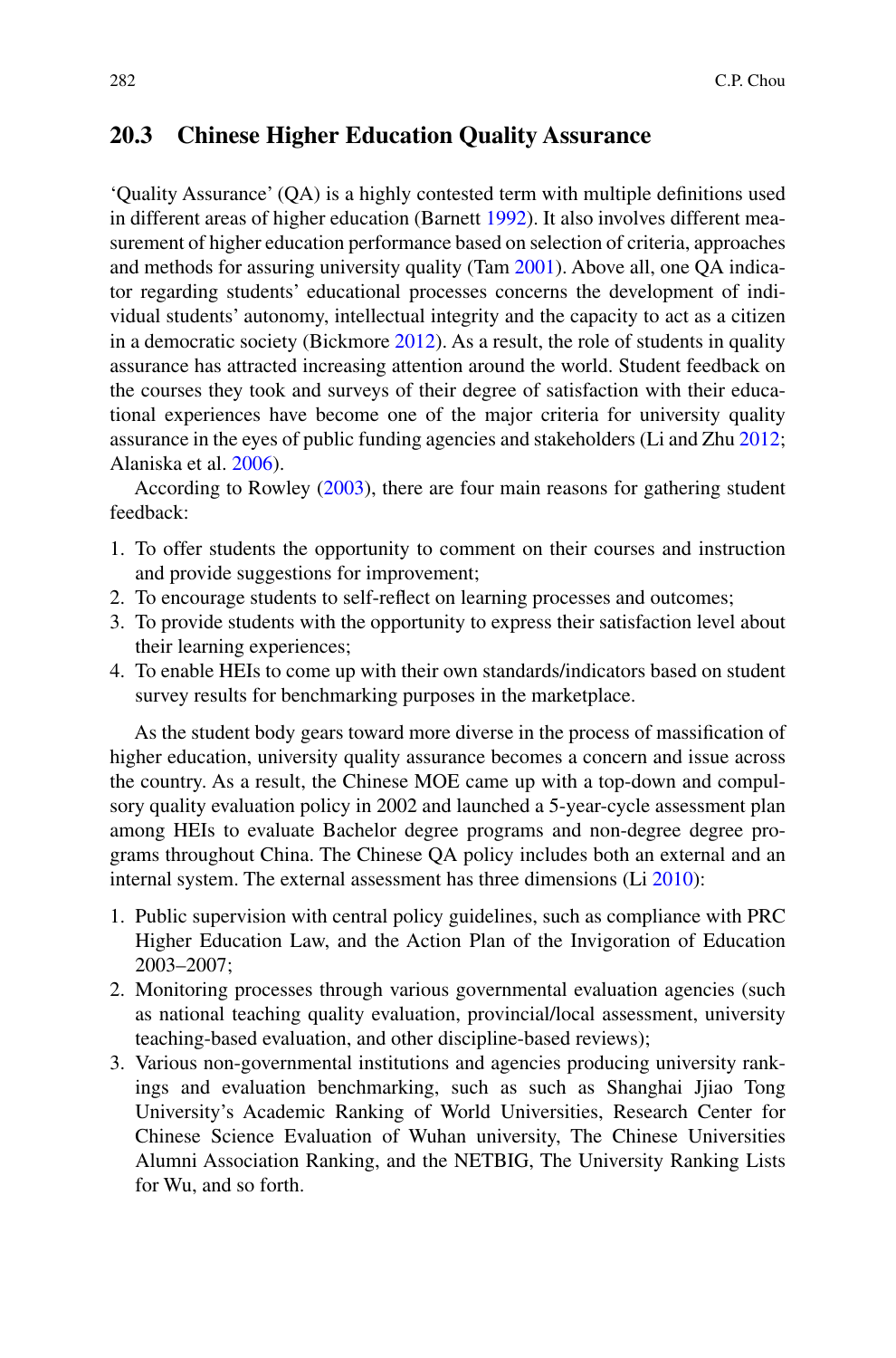## **20.3 Chinese Higher Education Quality Assurance**

'Quality Assurance' (QA) is a highly contested term with multiple definitions used in different areas of higher education (Barnett [1992](#page-10-0) ). It also involves different measurement of higher education performance based on selection of criteria, approaches and methods for assuring university quality (Tam 2001). Above all, one QA indicator regarding students' educational processes concerns the development of individual students' autonomy, intellectual integrity and the capacity to act as a citizen in a democratic society (Bickmore 2012). As a result, the role of students in quality assurance has attracted increasing attention around the world. Student feedback on the courses they took and surveys of their degree of satisfaction with their educational experiences have become one of the major criteria for university quality assurance in the eyes of public funding agencies and stakeholders (Li and Zhu 2012; Alaniska et al. 2006).

According to Rowley  $(2003)$ , there are four main reasons for gathering student feedback:

- 1. To offer students the opportunity to comment on their courses and instruction and provide suggestions for improvement;
- 2. To encourage students to self-reflect on learning processes and outcomes;
- 3. To provide students with the opportunity to express their satisfaction level about their learning experiences;
- 4. To enable HEIs to come up with their own standards/indicators based on student survey results for benchmarking purposes in the marketplace.

As the student body gears toward more diverse in the process of massification of higher education, university quality assurance becomes a concern and issue across the country. As a result, the Chinese MOE came up with a top-down and compulsory quality evaluation policy in 2002 and launched a 5-year-cycle assessment plan among HEIs to evaluate Bachelor degree programs and non-degree degree programs throughout China. The Chinese QA policy includes both an external and an internal system. The external assessment has three dimensions (Li [2010](#page-11-0)):

- 1. Public supervision with central policy guidelines, such as compliance with PRC Higher Education Law, and the Action Plan of the Invigoration of Education 2003–2007;
- 2. Monitoring processes through various governmental evaluation agencies (such as national teaching quality evaluation, provincial/local assessment, university teaching-based evaluation, and other discipline-based reviews);
- 3. Various non-governmental institutions and agencies producing university rankings and evaluation benchmarking, such as such as Shanghai Jjiao Tong University's Academic Ranking of World Universities, Research Center for Chinese Science Evaluation of Wuhan university, The Chinese Universities Alumni Association Ranking, and the NETBIG, The University Ranking Lists for Wu, and so forth.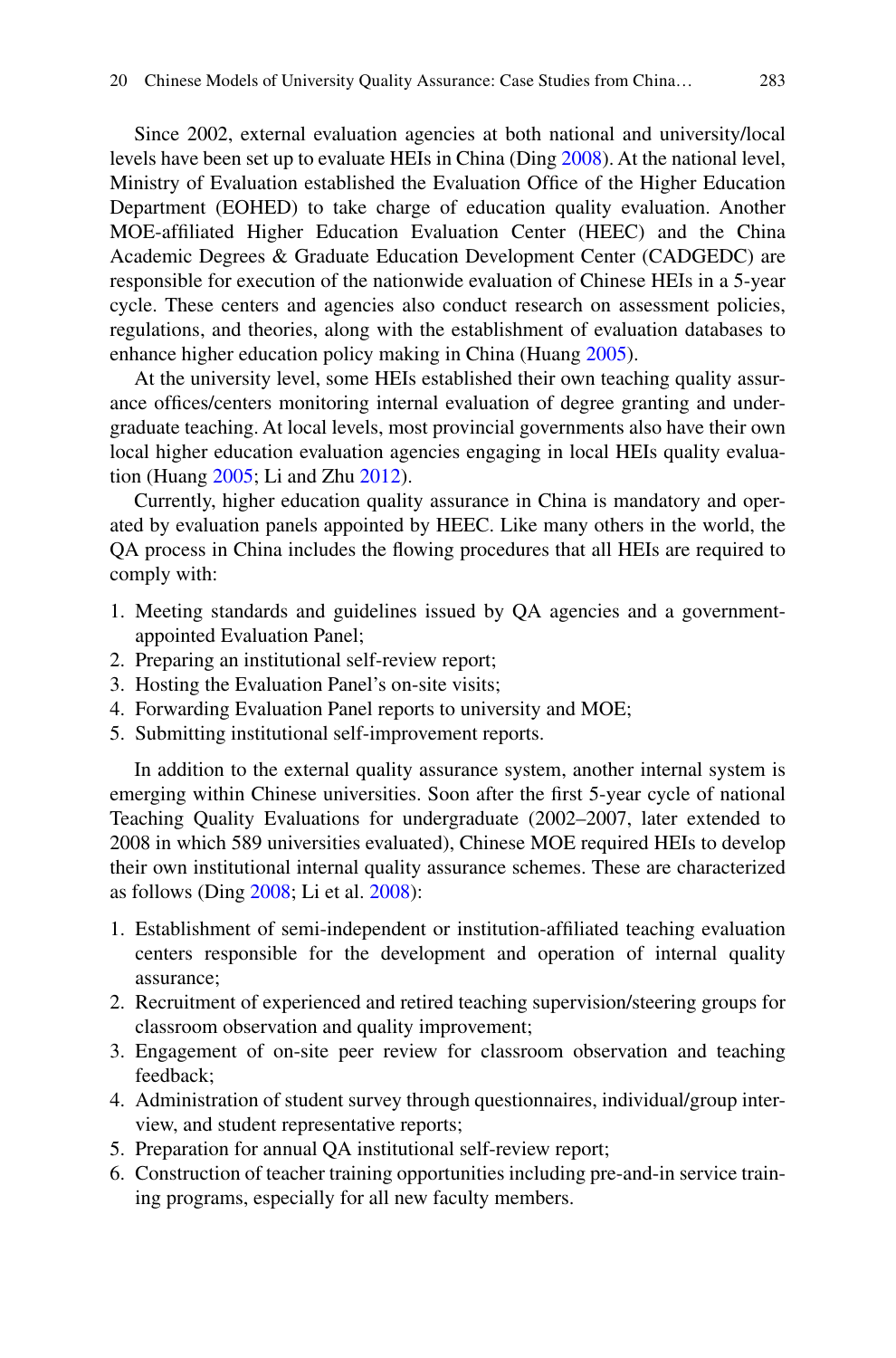Since 2002, external evaluation agencies at both national and university/local levels have been set up to evaluate HEIs in China (Ding [2008 \)](#page-10-0). At the national level, Ministry of Evaluation established the Evaluation Office of the Higher Education Department (EOHED) to take charge of education quality evaluation. Another MOE-affiliated Higher Education Evaluation Center (HEEC) and the China Academic Degrees & Graduate Education Development Center (CADGEDC) are responsible for execution of the nationwide evaluation of Chinese HEIs in a 5-year cycle. These centers and agencies also conduct research on assessment policies, regulations, and theories, along with the establishment of evaluation databases to enhance higher education policy making in China (Huang 2005).

 At the university level, some HEIs established their own teaching quality assurance offices/centers monitoring internal evaluation of degree granting and undergraduate teaching. At local levels, most provincial governments also have their own local higher education evaluation agencies engaging in local HEIs quality evaluation (Huang  $2005$ ; Li and Zhu  $2012$ ).

 Currently, higher education quality assurance in China is mandatory and operated by evaluation panels appointed by HEEC. Like many others in the world, the OA process in China includes the flowing procedures that all HEIs are required to comply with:

- 1. Meeting standards and guidelines issued by QA agencies and a governmentappointed Evaluation Panel;
- 2. Preparing an institutional self-review report;
- 3. Hosting the Evaluation Panel's on-site visits;
- 4. Forwarding Evaluation Panel reports to university and MOE;
- 5. Submitting institutional self-improvement reports.

 In addition to the external quality assurance system, another internal system is emerging within Chinese universities. Soon after the first 5-year cycle of national Teaching Quality Evaluations for undergraduate (2002–2007, later extended to 2008 in which 589 universities evaluated), Chinese MOE required HEIs to develop their own institutional internal quality assurance schemes. These are characterized as follows (Ding  $2008$ ; Li et al.  $2008$ ):

- 1. Establishment of semi-independent or institution-affiliated teaching evaluation centers responsible for the development and operation of internal quality assurance;
- 2. Recruitment of experienced and retired teaching supervision/steering groups for classroom observation and quality improvement;
- 3. Engagement of on-site peer review for classroom observation and teaching feedback;
- 4. Administration of student survey through questionnaires, individual/group interview, and student representative reports;
- 5. Preparation for annual QA institutional self-review report;
- 6. Construction of teacher training opportunities including pre-and-in service training programs, especially for all new faculty members.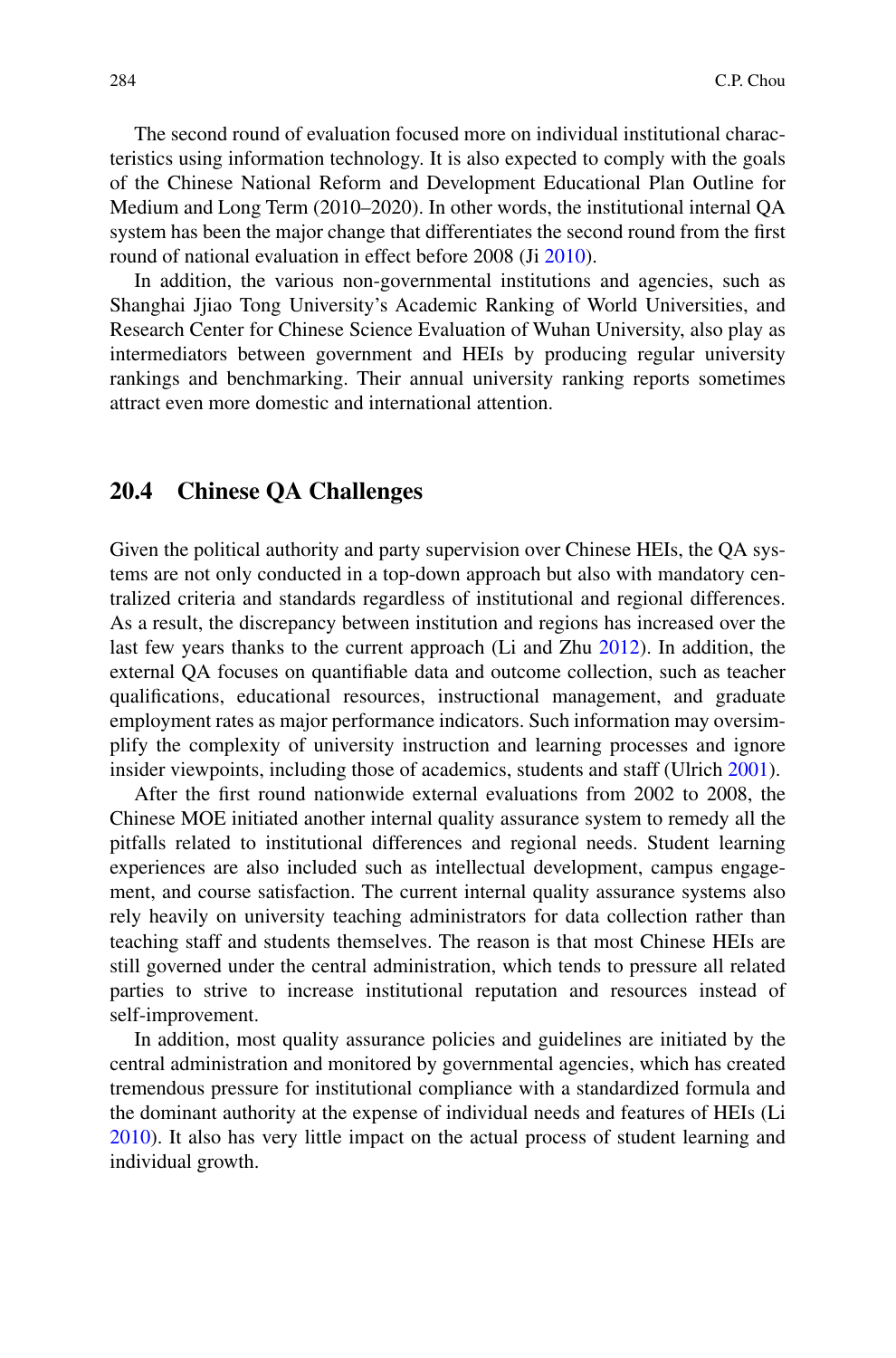The second round of evaluation focused more on individual institutional characteristics using information technology. It is also expected to comply with the goals of the Chinese National Reform and Development Educational Plan Outline for Medium and Long Term (2010–2020). In other words, the institutional internal QA system has been the major change that differentiates the second round from the first round of national evaluation in effect before 2008 (Ji [2010](#page-11-0)).

 In addition, the various non-governmental institutions and agencies, such as Shanghai Jjiao Tong University's Academic Ranking of World Universities, and Research Center for Chinese Science Evaluation of Wuhan University, also play as intermediators between government and HEIs by producing regular university rankings and benchmarking. Their annual university ranking reports sometimes attract even more domestic and international attention.

#### **20.4 Chinese QA Challenges**

 Given the political authority and party supervision over Chinese HEIs, the QA systems are not only conducted in a top-down approach but also with mandatory centralized criteria and standards regardless of institutional and regional differences. As a result, the discrepancy between institution and regions has increased over the last few years thanks to the current approach (Li and Zhu 2012). In addition, the external OA focuses on quantifiable data and outcome collection, such as teacher qualifi cations, educational resources, instructional management, and graduate employment rates as major performance indicators. Such information may oversimplify the complexity of university instruction and learning processes and ignore insider viewpoints, including those of academics, students and staff (Ulrich [2001](#page-11-0)).

After the first round nationwide external evaluations from 2002 to 2008, the Chinese MOE initiated another internal quality assurance system to remedy all the pitfalls related to institutional differences and regional needs. Student learning experiences are also included such as intellectual development, campus engagement, and course satisfaction. The current internal quality assurance systems also rely heavily on university teaching administrators for data collection rather than teaching staff and students themselves. The reason is that most Chinese HEIs are still governed under the central administration, which tends to pressure all related parties to strive to increase institutional reputation and resources instead of self-improvement.

 In addition, most quality assurance policies and guidelines are initiated by the central administration and monitored by governmental agencies, which has created tremendous pressure for institutional compliance with a standardized formula and the dominant authority at the expense of individual needs and features of HEIs (Li [2010 \)](#page-11-0). It also has very little impact on the actual process of student learning and individual growth.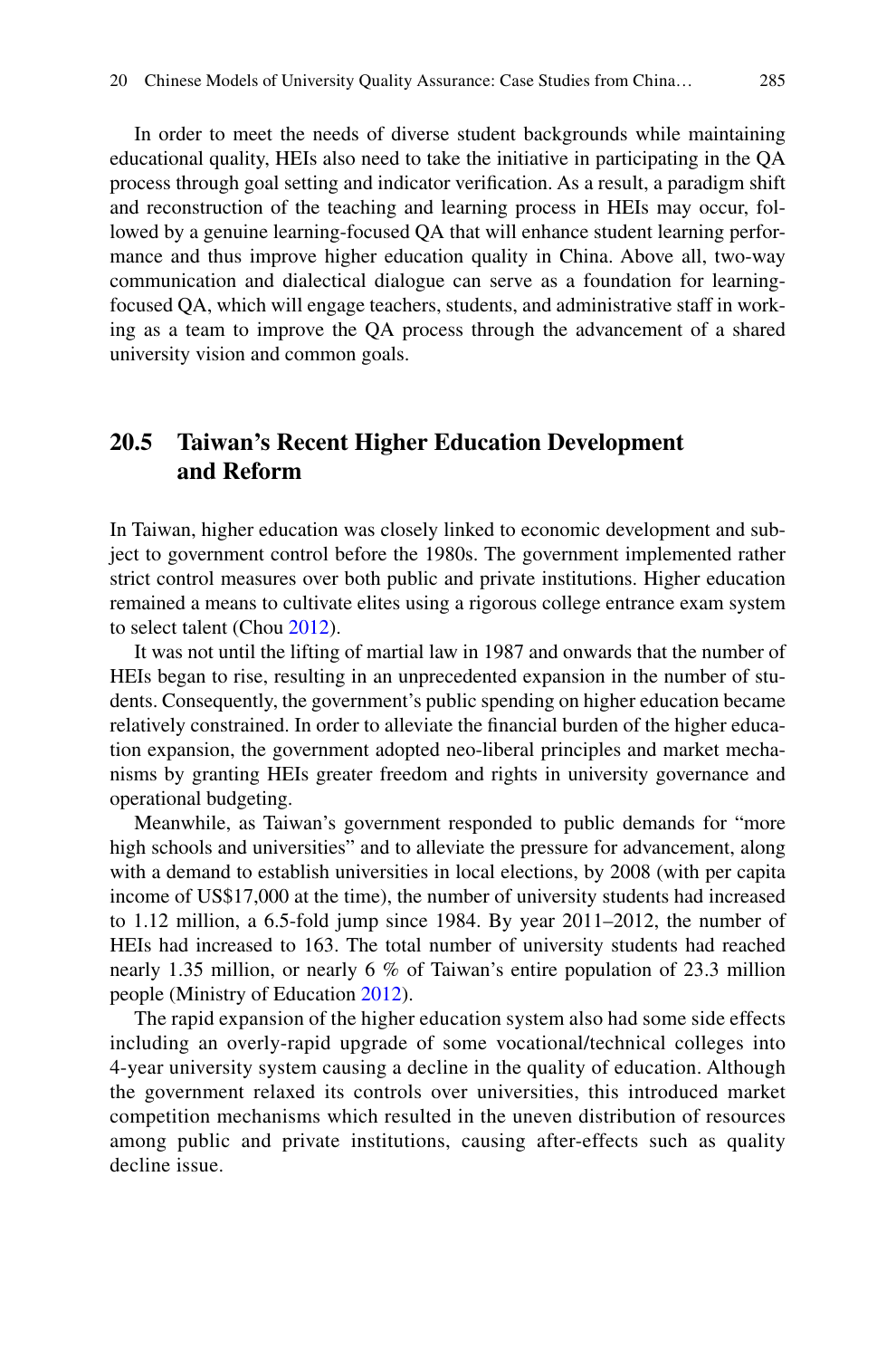In order to meet the needs of diverse student backgrounds while maintaining educational quality, HEIs also need to take the initiative in participating in the QA process through goal setting and indicator verification. As a result, a paradigm shift and reconstruction of the teaching and learning process in HEIs may occur, followed by a genuine learning-focused QA that will enhance student learning performance and thus improve higher education quality in China. Above all, two-way communication and dialectical dialogue can serve as a foundation for learningfocused QA, which will engage teachers, students, and administrative staff in working as a team to improve the QA process through the advancement of a shared university vision and common goals.

## **20.5 Taiwan's Recent Higher Education Development and Reform**

 In Taiwan, higher education was closely linked to economic development and subject to government control before the 1980s. The government implemented rather strict control measures over both public and private institutions. Higher education remained a means to cultivate elites using a rigorous college entrance exam system to select talent (Chou 2012).

 It was not until the lifting of martial law in 1987 and onwards that the number of HEIs began to rise, resulting in an unprecedented expansion in the number of students. Consequently, the government's public spending on higher education became relatively constrained. In order to alleviate the financial burden of the higher education expansion, the government adopted neo-liberal principles and market mechanisms by granting HEIs greater freedom and rights in university governance and operational budgeting.

 Meanwhile, as Taiwan's government responded to public demands for "more high schools and universities" and to alleviate the pressure for advancement, along with a demand to establish universities in local elections, by 2008 (with per capita income of US\$17,000 at the time), the number of university students had increased to 1.12 million, a 6.5-fold jump since 1984. By year 2011–2012, the number of HEIs had increased to 163. The total number of university students had reached nearly 1.35 million, or nearly 6 % of Taiwan's entire population of 23.3 million people (Ministry of Education [2012](#page-11-0)).

 The rapid expansion of the higher education system also had some side effects including an overly-rapid upgrade of some vocational/technical colleges into 4-year university system causing a decline in the quality of education. Although the government relaxed its controls over universities, this introduced market competition mechanisms which resulted in the uneven distribution of resources among public and private institutions, causing after-effects such as quality decline issue.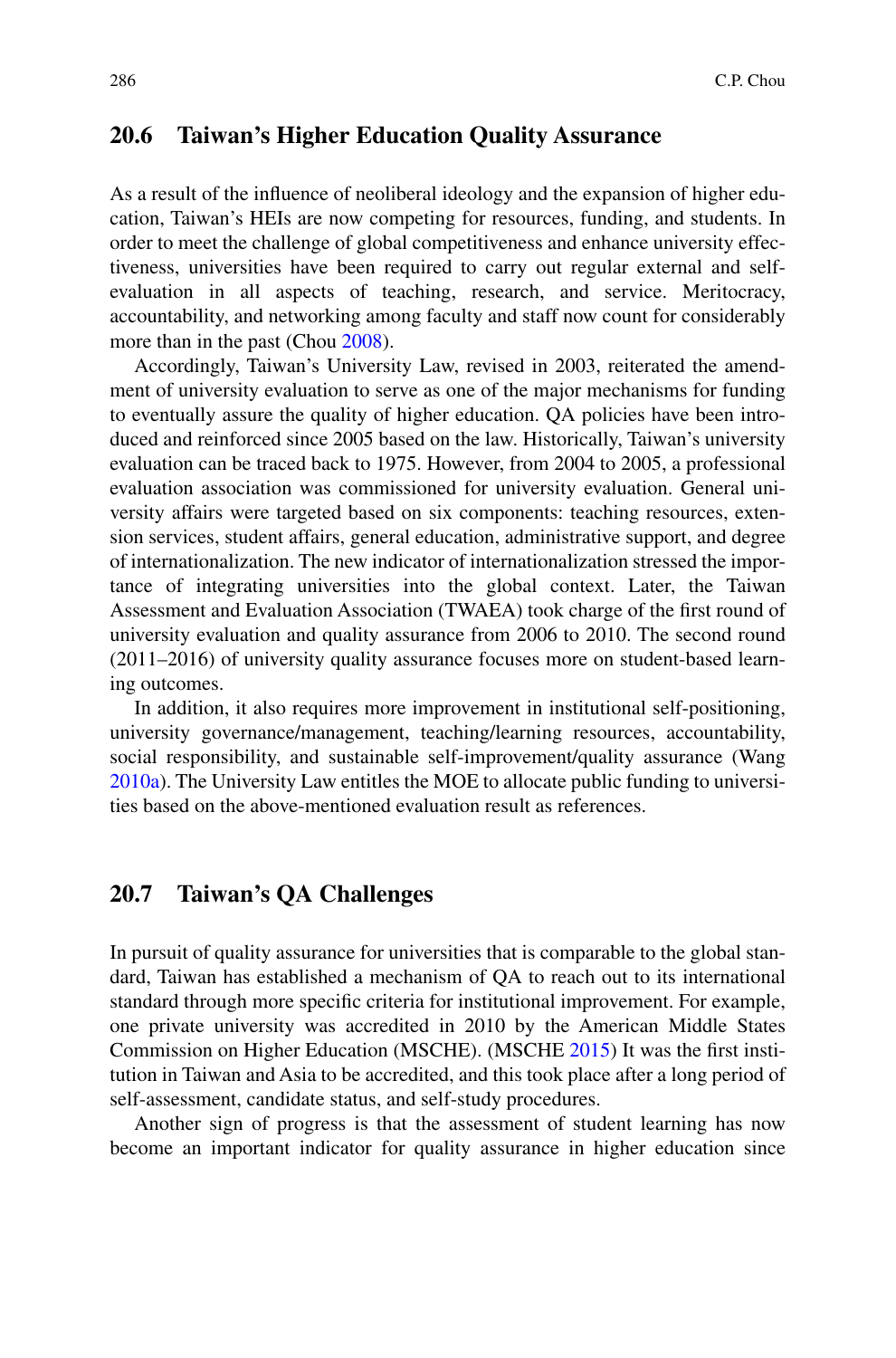### **20.6 Taiwan's Higher Education Quality Assurance**

As a result of the influence of neoliberal ideology and the expansion of higher education, Taiwan's HEIs are now competing for resources, funding, and students. In order to meet the challenge of global competitiveness and enhance university effectiveness, universities have been required to carry out regular external and selfevaluation in all aspects of teaching, research, and service. Meritocracy, accountability, and networking among faculty and staff now count for considerably more than in the past (Chou 2008).

 Accordingly, Taiwan's University Law, revised in 2003, reiterated the amendment of university evaluation to serve as one of the major mechanisms for funding to eventually assure the quality of higher education. QA policies have been introduced and reinforced since 2005 based on the law. Historically, Taiwan's university evaluation can be traced back to 1975. However, from 2004 to 2005, a professional evaluation association was commissioned for university evaluation. General university affairs were targeted based on six components: teaching resources, extension services, student affairs, general education, administrative support, and degree of internationalization. The new indicator of internationalization stressed the importance of integrating universities into the global context. Later, the Taiwan Assessment and Evaluation Association (TWAEA) took charge of the first round of university evaluation and quality assurance from 2006 to 2010. The second round (2011–2016) of university quality assurance focuses more on student-based learning outcomes.

 In addition, it also requires more improvement in institutional self-positioning, university governance/management, teaching/learning resources, accountability, social responsibility, and sustainable self-improvement/quality assurance (Wang [2010a](#page-12-0)). The University Law entitles the MOE to allocate public funding to universities based on the above-mentioned evaluation result as references.

## **20.7 Taiwan's QA Challenges**

 In pursuit of quality assurance for universities that is comparable to the global standard, Taiwan has established a mechanism of QA to reach out to its international standard through more specific criteria for institutional improvement. For example, one private university was accredited in 2010 by the American Middle States Commission on Higher Education (MSCHE). (MSCHE [2015](#page-11-0)) It was the first institution in Taiwan and Asia to be accredited, and this took place after a long period of self-assessment, candidate status, and self-study procedures.

 Another sign of progress is that the assessment of student learning has now become an important indicator for quality assurance in higher education since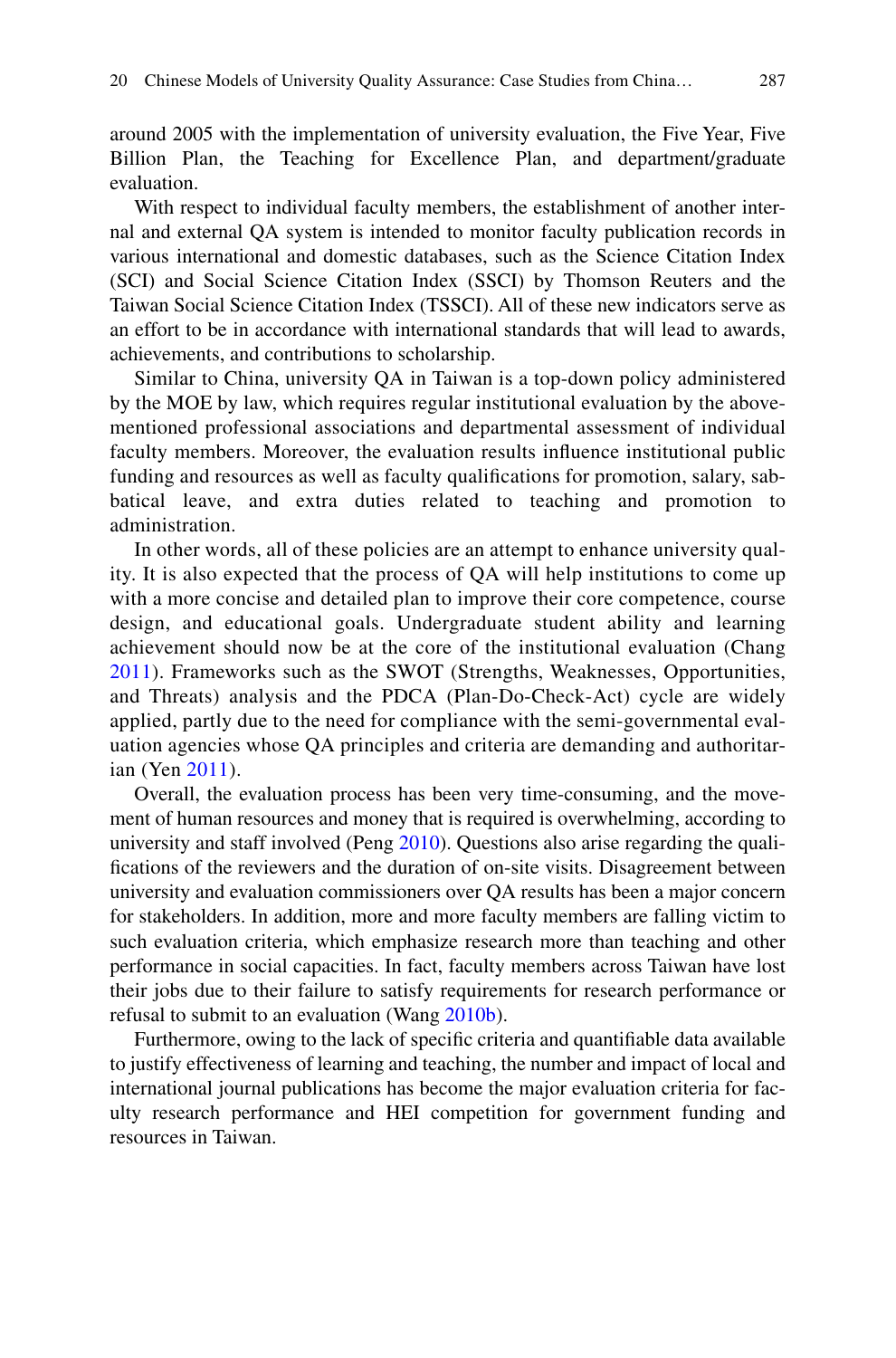around 2005 with the implementation of university evaluation, the Five Year, Five Billion Plan, the Teaching for Excellence Plan, and department/graduate evaluation.

 With respect to individual faculty members, the establishment of another internal and external QA system is intended to monitor faculty publication records in various international and domestic databases, such as the Science Citation Index (SCI) and Social Science Citation Index (SSCI) by Thomson Reuters and the Taiwan Social Science Citation Index (TSSCI). All of these new indicators serve as an effort to be in accordance with international standards that will lead to awards, achievements, and contributions to scholarship.

 Similar to China, university QA in Taiwan is a top-down policy administered by the MOE by law, which requires regular institutional evaluation by the abovementioned professional associations and departmental assessment of individual faculty members. Moreover, the evaluation results influence institutional public funding and resources as well as faculty qualifications for promotion, salary, sabbatical leave, and extra duties related to teaching and promotion to administration.

In other words, all of these policies are an attempt to enhance university quality. It is also expected that the process of QA will help institutions to come up with a more concise and detailed plan to improve their core competence, course design, and educational goals. Undergraduate student ability and learning achievement should now be at the core of the institutional evaluation (Chang 2011). Frameworks such as the SWOT (Strengths, Weaknesses, Opportunities, and Threats) analysis and the PDCA (Plan-Do-Check-Act) cycle are widely applied, partly due to the need for compliance with the semi-governmental evaluation agencies whose QA principles and criteria are demanding and authoritarian (Yen  $2011$ ).

 Overall, the evaluation process has been very time-consuming, and the movement of human resources and money that is required is overwhelming, according to university and staff involved (Peng  $2010$ ). Questions also arise regarding the qualifications of the reviewers and the duration of on-site visits. Disagreement between university and evaluation commissioners over QA results has been a major concern for stakeholders. In addition, more and more faculty members are falling victim to such evaluation criteria, which emphasize research more than teaching and other performance in social capacities. In fact, faculty members across Taiwan have lost their jobs due to their failure to satisfy requirements for research performance or refusal to submit to an evaluation (Wang  $2010<sub>b</sub>$ ).

Furthermore, owing to the lack of specific criteria and quantifiable data available to justify effectiveness of learning and teaching, the number and impact of local and international journal publications has become the major evaluation criteria for faculty research performance and HEI competition for government funding and resources in Taiwan.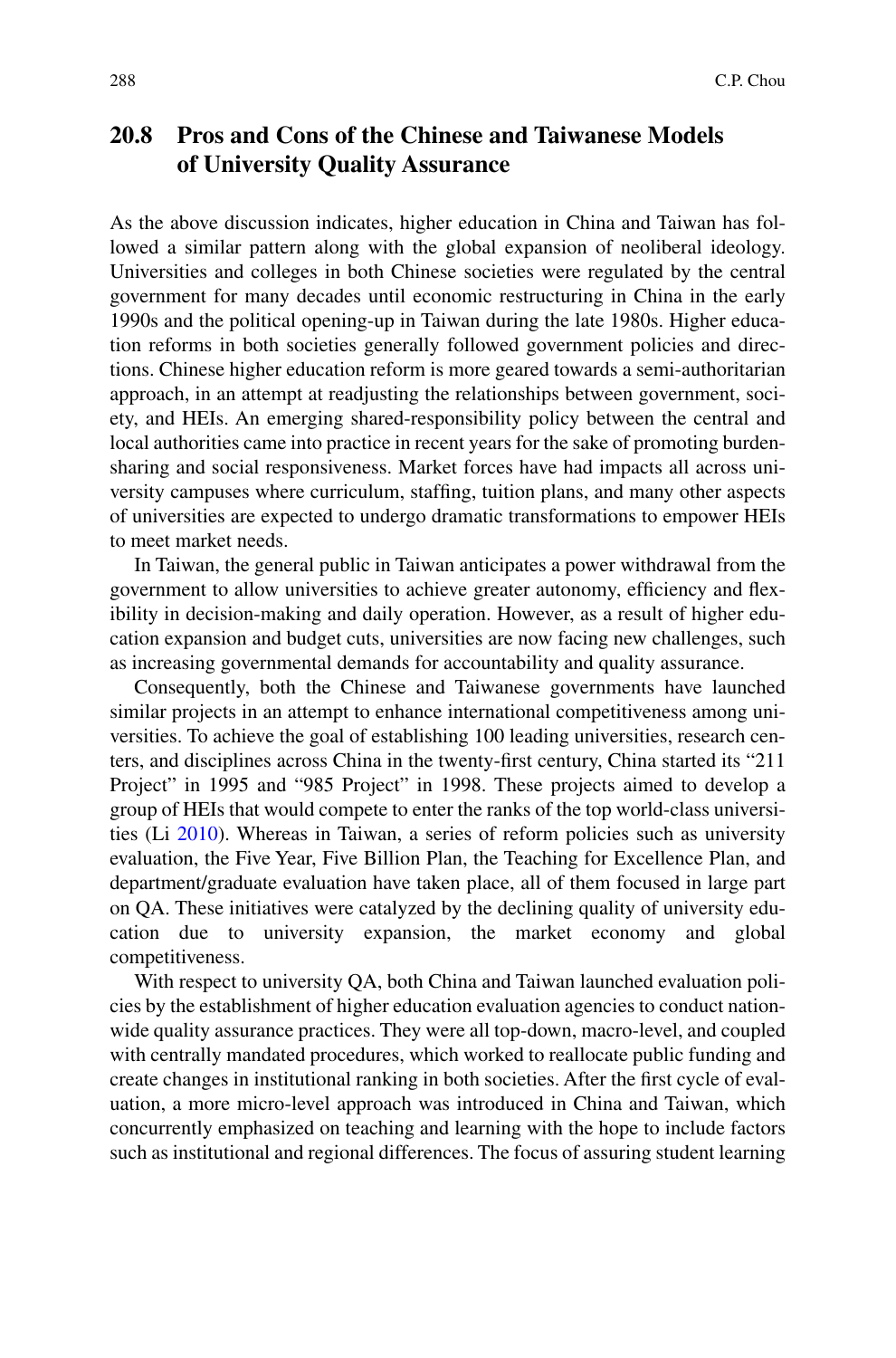# **20.8 Pros and Cons of the Chinese and Taiwanese Models of University Quality Assurance**

 As the above discussion indicates, higher education in China and Taiwan has followed a similar pattern along with the global expansion of neoliberal ideology. Universities and colleges in both Chinese societies were regulated by the central government for many decades until economic restructuring in China in the early 1990s and the political opening-up in Taiwan during the late 1980s. Higher education reforms in both societies generally followed government policies and directions. Chinese higher education reform is more geared towards a semi-authoritarian approach, in an attempt at readjusting the relationships between government, society, and HEIs. An emerging shared-responsibility policy between the central and local authorities came into practice in recent years for the sake of promoting burdensharing and social responsiveness. Market forces have had impacts all across university campuses where curriculum, staffing, tuition plans, and many other aspects of universities are expected to undergo dramatic transformations to empower HEIs to meet market needs.

 In Taiwan, the general public in Taiwan anticipates a power withdrawal from the government to allow universities to achieve greater autonomy, efficiency and flexibility in decision-making and daily operation. However, as a result of higher education expansion and budget cuts, universities are now facing new challenges, such as increasing governmental demands for accountability and quality assurance.

 Consequently, both the Chinese and Taiwanese governments have launched similar projects in an attempt to enhance international competitiveness among universities. To achieve the goal of establishing 100 leading universities, research centers, and disciplines across China in the twenty-first century, China started its "211" Project" in 1995 and "985 Project" in 1998. These projects aimed to develop a group of HEIs that would compete to enter the ranks of the top world-class universi-ties (Li [2010](#page-11-0)). Whereas in Taiwan, a series of reform policies such as university evaluation, the Five Year, Five Billion Plan, the Teaching for Excellence Plan, and department/graduate evaluation have taken place, all of them focused in large part on QA. These initiatives were catalyzed by the declining quality of university education due to university expansion, the market economy and global competitiveness.

 With respect to university QA, both China and Taiwan launched evaluation policies by the establishment of higher education evaluation agencies to conduct nationwide quality assurance practices. They were all top-down, macro-level, and coupled with centrally mandated procedures, which worked to reallocate public funding and create changes in institutional ranking in both societies. After the first cycle of evaluation, a more micro-level approach was introduced in China and Taiwan, which concurrently emphasized on teaching and learning with the hope to include factors such as institutional and regional differences. The focus of assuring student learning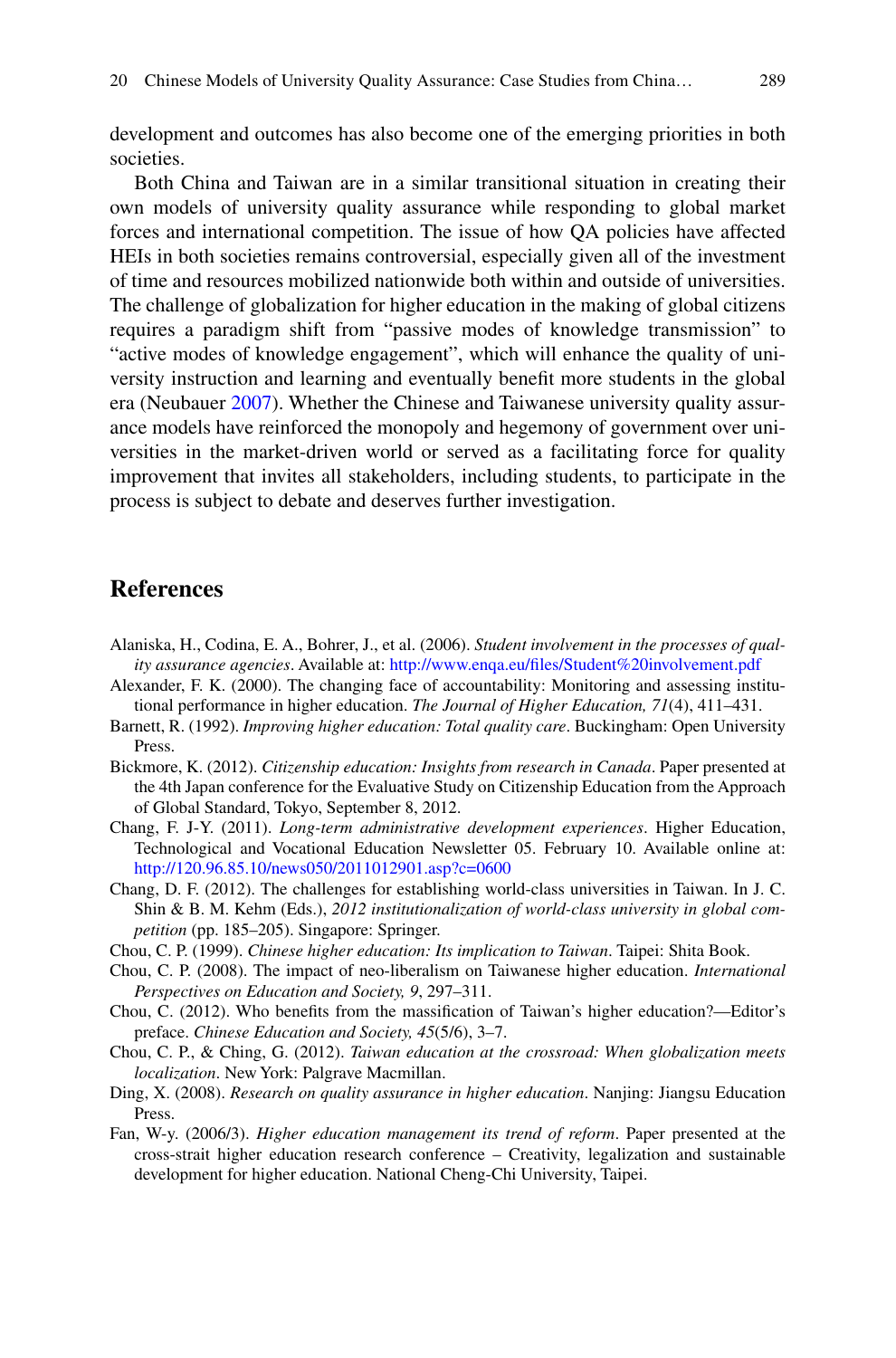<span id="page-10-0"></span>development and outcomes has also become one of the emerging priorities in both societies.

 Both China and Taiwan are in a similar transitional situation in creating their own models of university quality assurance while responding to global market forces and international competition. The issue of how QA policies have affected HEIs in both societies remains controversial, especially given all of the investment of time and resources mobilized nationwide both within and outside of universities. The challenge of globalization for higher education in the making of global citizens requires a paradigm shift from "passive modes of knowledge transmission" to "active modes of knowledge engagement", which will enhance the quality of university instruction and learning and eventually benefit more students in the global era (Neubauer [2007](#page-11-0)). Whether the Chinese and Taiwanese university quality assurance models have reinforced the monopoly and hegemony of government over universities in the market-driven world or served as a facilitating force for quality improvement that invites all stakeholders, including students, to participate in the process is subject to debate and deserves further investigation.

## **References**

- Alaniska, H., Codina, E. A., Bohrer, J., et al. (2006). *Student involvement in the processes of quality assurance agencies.* Available at: http://www.enqa.eu/files/Student%20involvement.pdf
- Alexander, F. K. (2000). The changing face of accountability: Monitoring and assessing institutional performance in higher education. *The Journal of Higher Education, 71* (4), 411–431.
- Barnett, R. (1992). *Improving higher education: Total quality care* . Buckingham: Open University Press.
- Bickmore, K. (2012). *Citizenship education: Insights from research in Canada* . Paper presented at the 4th Japan conference for the Evaluative Study on Citizenship Education from the Approach of Global Standard, Tokyo, September 8, 2012.
- Chang, F. J-Y. (2011). *Long-term administrative development experiences* . Higher Education, Technological and Vocational Education Newsletter 05. February 10. Available online at: <http://120.96.85.10/news050/2011012901.asp?c=0600>
- Chang, D. F. (2012). The challenges for establishing world-class universities in Taiwan. In J. C. Shin & B. M. Kehm (Eds.), *2012 institutionalization of world-class university in global competition* (pp. 185–205). Singapore: Springer.
- Chou, C. P. (1999). *Chinese higher education: Its implication to Taiwan* . Taipei: Shita Book.
- Chou, C. P. (2008). The impact of neo-liberalism on Taiwanese higher education. *International Perspectives on Education and Society, 9, 297–311.*
- Chou, C. (2012). Who benefits from the massification of Taiwan's higher education?—Editor's preface. *Chinese Education and Society, 45* (5/6), 3–7.
- Chou, C. P., & Ching, G. (2012). *Taiwan education at the crossroad: When globalization meets localization* . New York: Palgrave Macmillan.
- Ding, X. (2008). *Research on quality assurance in higher education* . Nanjing: Jiangsu Education Press.
- Fan, W-y. (2006/3). *Higher education management its trend of reform* . Paper presented at the cross-strait higher education research conference – Creativity, legalization and sustainable development for higher education. National Cheng-Chi University, Taipei.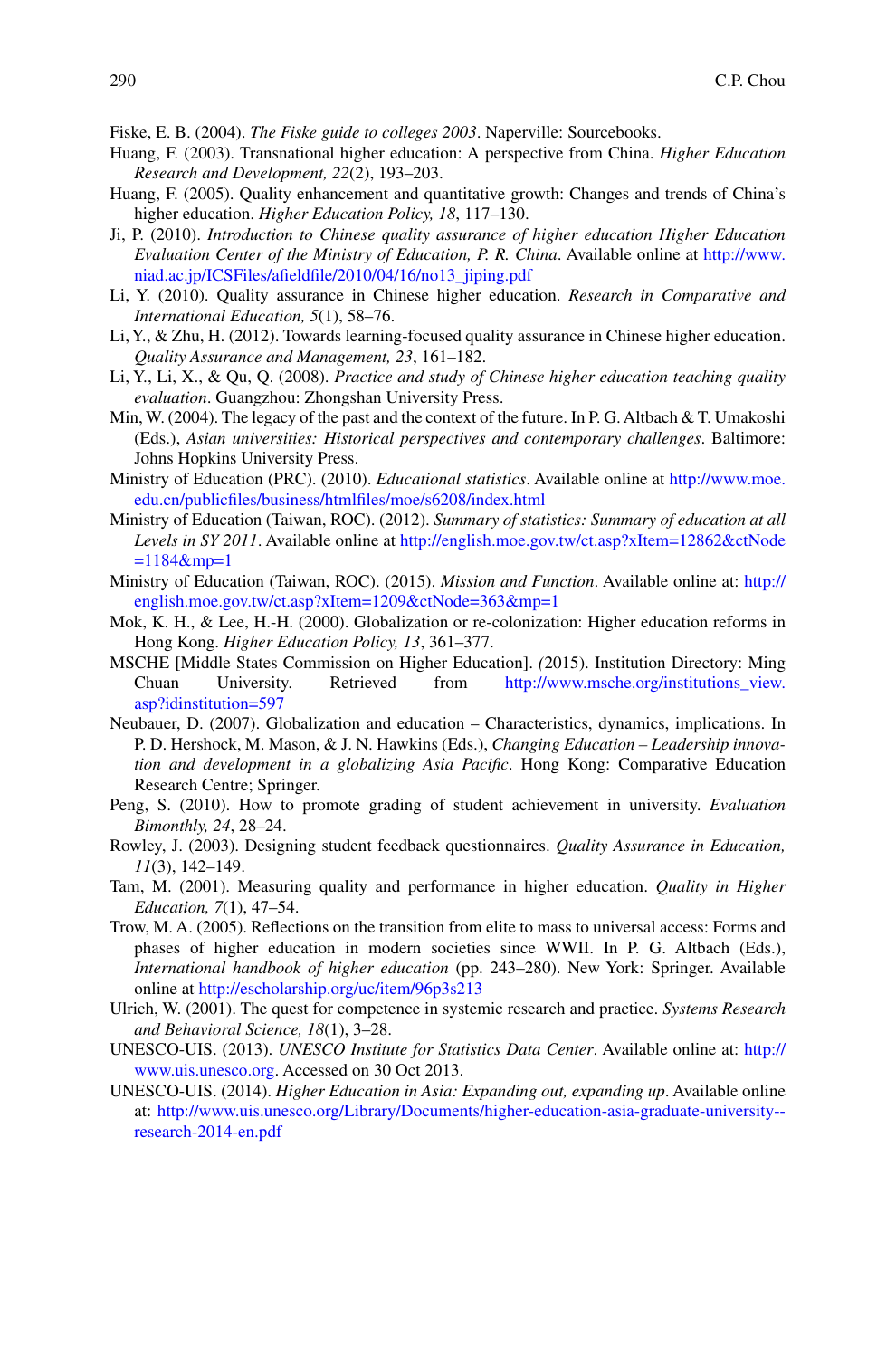<span id="page-11-0"></span>Fiske, E. B. (2004). *The Fiske guide to colleges 2003* . Naperville: Sourcebooks.

- Huang, F. (2003). Transnational higher education: A perspective from China. *Higher Education Research and Development, 22* (2), 193–203.
- Huang, F. (2005). Quality enhancement and quantitative growth: Changes and trends of China's higher education. *Higher Education Policy*, 18, 117–130.
- Ji, P. (2010). *Introduction to Chinese quality assurance of higher education Higher Education Evaluation Center of the Ministry of Education, P. R. China* . Available online at [http://www.](http://www.niad.ac.jp/ICSFiles/afieldfile/2010/04/16/no13_jiping.pdf) niad.ac.jp/ICSFiles/afieldfile/2010/04/16/no13 jiping.pdf
- Li, Y. (2010). Quality assurance in Chinese higher education. *Research in Comparative and International Education, 5* (1), 58–76.
- Li, Y., & Zhu, H. (2012). Towards learning-focused quality assurance in Chinese higher education. *Quality Assurance and Management, 23* , 161–182.
- Li, Y., Li, X., & Qu, Q. (2008). *Practice and study of Chinese higher education teaching quality evaluation* . Guangzhou: Zhongshan University Press.
- Min, W. (2004). The legacy of the past and the context of the future. In P. G. Altbach & T. Umakoshi (Eds.), *Asian universities: Historical perspectives and contemporary challenges* . Baltimore: Johns Hopkins University Press.
- Ministry of Education (PRC). (2010). *Educational statistics* . Available online at [http://www.moe.](http://www.moe.edu.cn/publicfiles/business/htmlfiles/moe/s6208/index.html) edu.cn/publicfiles/business/htmlfiles/moe/s6208/index.html
- Ministry of Education (Taiwan, ROC). (2012). *Summary of statistics: Summary of education at all Levels in SY 2011* . Available online at [http://english.moe.gov.tw/ct.asp?xItem=12862&ctNode](http://english.moe.gov.tw/ct.asp?xItem=12862&ctNode=1184&mp=1)  $=1184$ &mp=1
- Ministry of Education (Taiwan, ROC). (2015). *Mission and Function* . Available online at: [http://](http://english.moe.gov.tw/ct.asp?xItem=1209&ctNode=363&mp=1) [english.moe.gov.tw/ct.asp?xItem=1209&ctNode=363&mp=1](http://english.moe.gov.tw/ct.asp?xItem=1209&ctNode=363&mp=1)
- Mok, K. H., & Lee, H.-H. (2000). Globalization or re-colonization: Higher education reforms in Hong Kong. *Higher Education Policy, 13* , 361–377.
- MSCHE [Middle States Commission on Higher Education]. *(* 2015). Institution Directory: Ming Chuan University. Retrieved from [http://www.msche.org/institutions\\_view.](http://www.msche.org/institutions_view.asp?idinstitution=597) [asp?idinstitution=597](http://www.msche.org/institutions_view.asp?idinstitution=597)
- Neubauer, D. (2007). Globalization and education Characteristics, dynamics, implications. In P. D. Hershock, M. Mason, & J. N. Hawkins (Eds.), *Changing Education – Leadership innovation and development in a globalizing Asia Pacific*. Hong Kong: Comparative Education Research Centre; Springer.
- Peng, S. (2010). How to promote grading of student achievement in university. *Evaluation Bimonthly, 24* , 28–24.
- Rowley, J. (2003). Designing student feedback questionnaires. *Quality Assurance in Education, 11* (3), 142–149.
- Tam, M. (2001). Measuring quality and performance in higher education. *Quality in Higher Education, 7(1), 47-54.*
- Trow, M. A. (2005). Reflections on the transition from elite to mass to universal access: Forms and phases of higher education in modern societies since WWII. In P. G. Altbach (Eds.), *International handbook of higher education* (pp. 243–280). New York: Springer. Available online at<http://escholarship.org/uc/item/96p3s213>
- Ulrich, W. (2001). The quest for competence in systemic research and practice. *Systems Research and Behavioral Science, 18* (1), 3–28.
- UNESCO-UIS. (2013). *UNESCO Institute for Statistics Data Center* . Available online at: [http://](http://www.uis.unesco.org/) [www.uis.unesco.org.](http://www.uis.unesco.org/) Accessed on 30 Oct 2013.
- UNESCO-UIS. (2014). *Higher Education in Asia: Expanding out, expanding up* . Available online at: [http://www.uis.unesco.org/Library/Documents/higher-education-asia-graduate-university-](http://www.uis.unesco.org/Library/Documents/higher-education-asia-graduate-university-research-2014-en.pdf)  [research-2014-en.pdf](http://www.uis.unesco.org/Library/Documents/higher-education-asia-graduate-university-research-2014-en.pdf)